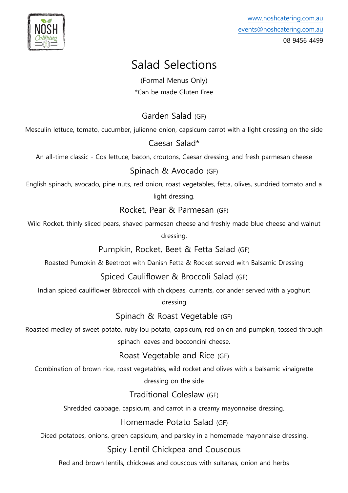

# Salad Selections

(Formal Menus Only) \*Can be made Gluten Free

# Garden Salad (GF)

Mesculin lettuce, tomato, cucumber, julienne onion, capsicum carrot with a light dressing on the side

### Caesar Salad\*

An all-time classic - Cos lettuce, bacon, croutons, Caesar dressing, and fresh parmesan cheese

#### Spinach & Avocado (GF)

English spinach, avocado, pine nuts, red onion, roast vegetables, fetta, olives, sundried tomato and a light dressing.

#### Rocket, Pear & Parmesan (GF)

Wild Rocket, thinly sliced pears, shaved parmesan cheese and freshly made blue cheese and walnut dressing.

## Pumpkin, Rocket, Beet & Fetta Salad (GF)

Roasted Pumpkin & Beetroot with Danish Fetta & Rocket served with Balsamic Dressing

## Spiced Cauliflower & Broccoli Salad (GF)

Indian spiced cauliflower &broccoli with chickpeas, currants, coriander served with a yoghurt

dressing

#### Spinach & Roast Vegetable (GF)

Roasted medley of sweet potato, ruby lou potato, capsicum, red onion and pumpkin, tossed through spinach leaves and bocconcini cheese.

## Roast Vegetable and Rice (GF)

Combination of brown rice, roast vegetables, wild rocket and olives with a balsamic vinaigrette dressing on the side

Traditional Coleslaw (GF)

Shredded cabbage, capsicum, and carrot in a creamy mayonnaise dressing.

## Homemade Potato Salad (GF)

Diced potatoes, onions, green capsicum, and parsley in a homemade mayonnaise dressing.

#### Spicy Lentil Chickpea and Couscous

Red and brown lentils, chickpeas and couscous with sultanas, onion and herbs